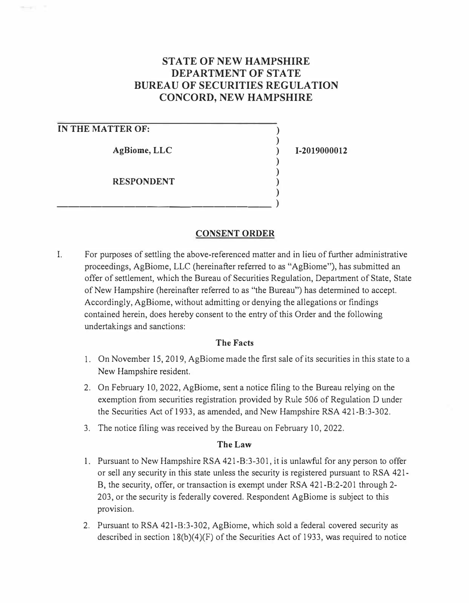# **STATE OF NEW HAMPSHIRE DEPARTMENT OF STATE BUREAU OF SECURITIES REGULATION CONCORD, NEW HAMPSHIRE**

## **IN THE MATTER OF:**

**AgBiome, LLC** 

**RESPONDENT** 

\_\_\_\_\_\_\_\_\_\_\_\_\_\_\_\_\_\_\_ )

**1-2019000012** 

) ) ) ) ) ) )

## **CONSENT ORDER**

I. For purposes of settling the above-referenced matter and in lieu of further administrative proceedings, AgBiome, LLC (hereinafter referred to as "AgBiome"), has submitted an offer of settlement, which the Bureau of Securities Regulation, Department of State, State of New Hampshire (hereinafter referred to as "the Bureau") has determined to accept. Accordingly, AgBiome, without admitting or denying the allegations or findings contained herein, does hereby consent to the entry of this Order and the following undertakings and sanctions:

### **The Facts**

- 1. On November 15, 2019, AgBiome made the first sale of its securities in this state to a New Hampshire resident.
- 2. On February 10, 2022, AgBiome, sent a notice filing to the Bureau relying on the exemption from securities registration provided by Rule 506 of Regulation D under the Securities Act of 1933, as amended, and New Hampshire RSA 421-B:3-302.
- 3. The notice filing was received by the Bureau on February 10, 2022.

### **The Law**

- 1. Pursuant to New Hampshire RSA 421-B:3-301, it is unlawful for any person to offer or sell any security in this state unless the security is registered pursuant to RSA 421- B, the security, offer, or transaction is exempt under RSA 421-B:2-201 through 2- 203, or the security is federally covered. Respondent AgBiome is subject to this provision.
- 2. Pursuant to RSA 421-B:3-302, AgBiome, which sold a federal covered security as described in section 18(b)(4)(F) of the Securities Act of 1933, was required to notice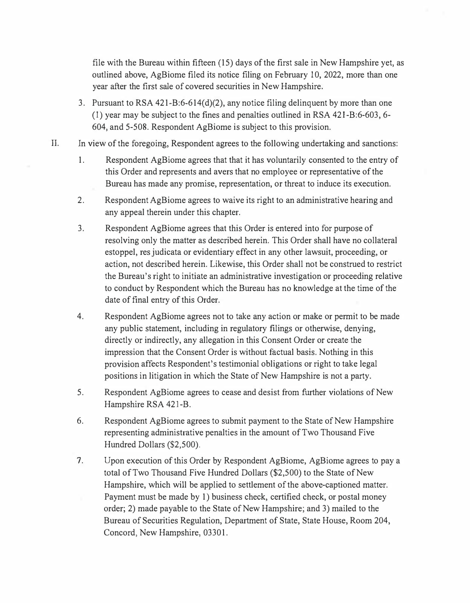file with the Bureau within fifteen (15) days of the first sale in New Hampshire yet, as outlined above, AgBiome filed its notice filing on February 10, 2022, more than one year after the first sale of covered securities in New Hampshire.

- 3. Pursuant to RSA 421-B:6-614(d)(2), any notice filing delinquent by more than one (1) year may be subject to the fines and penalties outlined in RSA 421-B:6-603, 6- 604, and 5-508. Respondent AgBiome is subject to this provision.
- II. In view of the foregoing, Respondent agrees to the following undertaking and sanctions:
	- 1. Respondent AgBiome agrees that that it has voluntarily consented to the entry of this Order and represents and avers that no employee or representative of the Bureau has made any promise, representation, or threat to induce its execution.
	- 2. Respondent AgBiome agrees to waive its right to an administrative hearing and any appeal therein under this chapter.
	- 3. Respondent AgBiome agrees that this Order is entered into for purpose of resolving only the matter as described herein. This Order shall have no collateral estoppel, res judicata or evidentiary effect in any other lawsuit, proceeding, or action, not described herein. Likewise, this Order shall not be construed to restrict the Bureau's right to initiate an administrative investigation or proceeding relative to conduct by Respondent which the Bureau has no knowledge at the time of the date of final entry of this Order.
	- 4. Respondent AgBiome agrees not to take any action or make or permit to be made any public statement, including in regulatory filings or otherwise, denying, directly or indirectly, any allegation in this Consent Order or create the impression that the Consent Order is without factual basis. Nothing in this provision affects Respondent's testimonial obligations or right to take legal positions in litigation in which the State of New Hampshire is not a party.
	- 5. Respondent AgBiome agrees to cease and desist from further violations of New Hampshire RSA 421-B.
	- 6. Respondent AgBiome agrees to submit payment to the State of New Hampshire representing administrative penalties in the amount of Two Thousand Five Hundred Dollars (\$2,500).
	- 7. Upon execution of this Order by Respondent AgBiome, AgBiome agrees to pay a total of Two Thousand Five Hundred Dollars (\$2,500) to the State of New Hampshire, which will be applied to settlement of the above-captioned matter. Payment must be made by 1) business check, certified check, or postal money order; 2) made payable to the State of New Hampshire; and 3) mailed to the Bureau of Securities Regulation, Department of State, State House, Room 204, Concord, New Hampshire, 03301.